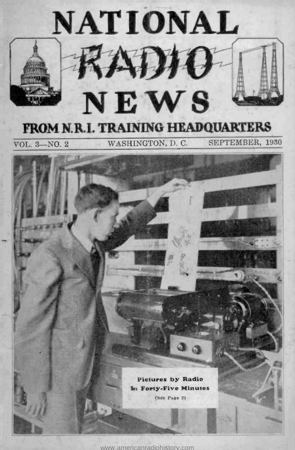

<www.americanradiohistory.com>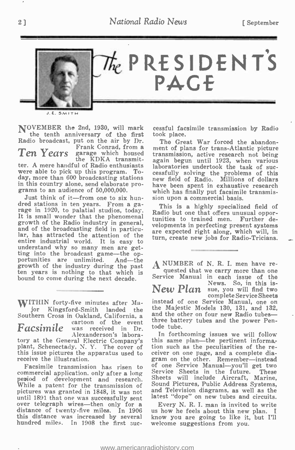

J.E. SMITH

NOVEMBER the 2nd, 1930, will mark the tenth anniversary of the first Radio broadcast, put on the air by Dr. Ten Years

the KDKA transmit-ter. A mere handful of Radio enthusiasts were able to pick up this program. Towere able to pick up this program. To-<br>day, more than 600 broadcasting stations in this country alone, send elaborate programs to an audience of 50,000,000.

Just think of it-from one to six hundred stations in ten years. From a garage in 1920, to palatial studios, today.<br>It is small wonder that the phenomenal growth of the Radio industry in general, and of the Radio industry in general, and of the broadcasting field in particu-<br>and of the broadcast entire industrial world. It is easy to understand why so many men are getting into the broadcast game—the op-<br>portunities are unlimited. And --the<br>growth of the industry during the past growth of the industry during the past  $A$ <br>ten years is nothing to that which is bound to come during the next decade.

WITHIN forty-five minutes after Major Kingsford-Smith landed the the Southern Cross in Oakland, California, a same cartoon of the event three cartoons of the event  $\overline{F}acsimile$  was received in Dr. **Facsimile** was received in Dr.<br>Alexanderson's labora-<br>tory at the General Electric Company's plant, Schenectady, N. Y. The cover of this issue pictures the apparatus used to ceiver on one page, and a complete dia-<br>receive the illustration. The star on the other. Remember—instead receive the illustration.  $Facsimile$   $\frac{extoon - of - the - event}{extreeed - in - Dr}$ 

Facsimile transmission has risen to commercial application, only after a long Service Sheets in the future. These<br>period of development and research. Sheets will include Aircraft, Marine,<br>While a natent for the transmission of Sound Pictures, Public Address While a patent for the transmission of pictures was granted in 1848, it was not until 1891 that one was successfully sent latest "dope" on new tubes and circuits.<br>over telegraph wires—then only for a Every N. R. I. man is invited to write distance of twenty-five miles. In 1906 this distance was increased by several hundred miles. In 1908 the first suc-

cessful facsimile transmission by Radio took place.

Frank Conrad, from a ment of plans for trans-Atlantic picture<br>garage which housed transmission, active research not being The Great War forced the abandonagain begun until 1923, when various<br>laboratories undertook the task of successfully solving the problems of this new field of Radio. Millions of dollars have been spent in exhaustive research which has finally put facsimile transmission upon a commercial basis.

> This is a highly specialized field of Radio but one that offers unusual opporvelopments in perfecting present systems are expected right along, which will, in turn, create new jobs for Radio-Tricians.

A NUMBER of N. R. I. men have re-<br>quested that we carry more than one Service Manual in each issue of the<br>News. So, in this is- $New Plan$  sue, you will find two complete Service Sheets<br>instead of one Service Manual, one on instead of one Service Manual, one on<br>the Majestic Models 130, 131, and 132,<br>and the other on four new Radio tubes—<br>three bettery tubes on four new Radio tubes and the other on four new Radio tubes—<br>three battery tubes and the power Pentode tube.

In forthcoming issues we will follow this same plan—the pertinent information such as the peculiarities of the recion such as the peculiarities of the receiver on one page, and a complete dia-<br>gram on the other. Remember—instead<br>of one Service Manual we'll got two of one Service Manual—you'll get two Service Sheets in the future. These Sheets will include Aircraft, Marine, and Television diagrams, as well as the latest "dope" on new tubes and circuits.

us how he feels about this new plan. I know you are going to like it, but I'll welcome suggestions from you.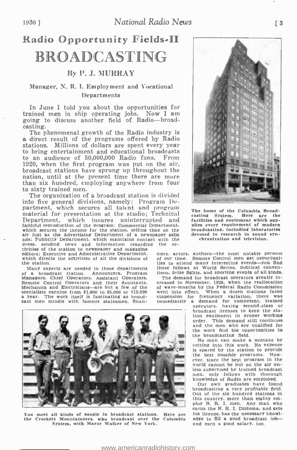## Radio Opportunity Fields-II **BROADCASTING**

### By P. J. MURRAY

#### Manager, N. R. I. Employment and Vocational **Departments**

In June I told you about the opportunities for trained men in ship operating jobs. Now I am going to discuss another field of Radio---broad-casting.

The phenomenal growth of the Radio industry is a direct result of the programs offered by Radio stations. Millions of dollars are spent every year to bring entertainment and educational broadcasts to an audience of 50,000,000 Radio fans. 1920, when the first program was put on the air, broadcast stations have sprung up throughout the than six hundred, employing anywhere from four<br>to sixty trained men.

The organization of a broadcast station is divided into five general divisions, namely: Program De-partment, which secures all talent and program material for presentation at the studio; Technical Department, which insures uninterrupted and faithful reproduction of the program: Commercial Department. plit<br>which secures the income for the station, selling time on the bro air Just as the Advertising Department of a newspaper sells dats; Publicity Department, which maintains contact with the press. sending news and information regarding the activities of the station to newspaper and magazine editors; Executive and Administrative Department. which directs the activities of all the divisions of of our the divisi

the station.<br>Many experts are needed in these departments of a broadcast station. Announcers. Program tions. prize fights, and sporting events of all kinds.<br>Managers. Chief Operators. Assistant Operators. The demand for broadcast operators greatly in-Remote Control Operators and their Assistants.<br>Mechanics and Electricians—are but a few of the specialists earning from \$1.800 to \$5.000 or \$10.000 a year. The work itself is fascinating as broadcast men mingle with famous statesmen, finan-



You meet all kinds of people in broadcast stations. Here are his license, has the necessary knowl-<br>the Crockett Mountaineers, who broadcast over the Columbia edge to fill a good broadcast job-System. with Mayor Walker of New York.



The home of the Columbia Broad-<br>casting System. Here are the casting System. facilities and equipment which sup- plies every requirement of modern broadcasting. including laboratories devoted to research in sound syn- chronization and television.

ciers. actors. authors—the most notable persons of our time. Remote Control men get opportunities to attend many interesting events-you find these fellows at World Series, political conven-

The demand for broadcast operators greatly increased in November, 1928, when the reallocation of wave -lengths by the Federal Radio Commission went Into effect. When a dozen stations faced suspension for frequency variation. there was immediately a demand for competent, trained

operators. having second -class or broadcast licenses to keep the stabroadcast licenses to keep the sta-<br>tion equipment in proper working<br>order. This demand still continues and the men who are qualified for the work find big opportunities in<br>the broadcasting field.

No man can make a mistake by eetting into this work. No expense is spared by the station to provide the best possible programs. How- ever. since the best program in the world cannot be put on the air unless supervised by trained broadcast men. only fellows with thorough knowledge of Radio are employed.

Our own graduates have found broadcasting a very profitable field. Out of the six hundred stations in this country, more than eighty em-<br>ploy N. R. I. men. Any man who<br>earns the N. R. I. Diploma, and gets his license, has the necessary knowledge to fill a good broadcast joband earn a good salary. too.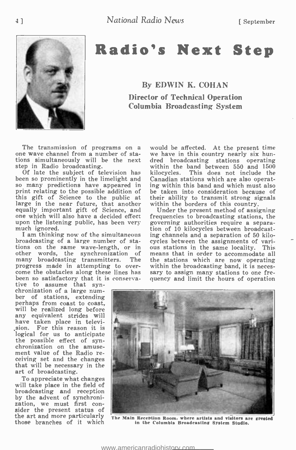

## Radio's Next Step

### By EDWIN K. COHAN Director of Technical Operation Columbia Broadcasting System

The transmission of programs on a one wave channel from a number of staone wave channel from a number of sta-<br>tions simultaneously will be the next dred broadcasting stations operating<br>step in Radio broadcasting.<br>within the band between 550 and 1500

been so prominently in the limelight and<br>so many predictions have appeared in print relating to the possible addition of this gift of Science to the public at their ability to transmit strong si<br>large in the near future, that another within the borders of this country. large in the near future, that another wit equally important gift of Science, and one which will also have a decided effect

broadcasting of a large number of stations on the same wave-length, or in ous stations in the same locality. This other words, the synchronization of means that in order to accommodate all other words, the synchronization of<br>many broadcasting transmitters. The many broadcasting transmitters. The the stations which are now operating<br>progress made in attempting to over- within the broadcasting band, it is necesprogress made in attempting to over- within the broadcasting band, it is neces-<br>come the obstacles along these lines has sary to assign many stations to one frebeen so satisfactory that it is conserva-<br>tive to assume that syn-

chronization of a large num-<br>ber of stations, extending<br>perhaps from coast to coast,<br>will be realized long before any equivalent strides will have taken place in television. For this reason it is logical for us to anticipate<br>the possible effect of syn-<br>chronization on the amuse-<br>ment value of the Radio receiving set and the changes<br>that will be necessary in the art of broadcasting.<br>To appreciate what changes

will take place in the field of broadcasting and reception<br>by the advent of synchronization, we must first con-<br>sider the present status of the art and more particularly those branches of it which

step in Radio broadcasting. Of late the subject of television has would be affected. At the present time dred broadcasting stations operating kilocycles. This does not include the ing within this band and which must also be taken into consideration because of their ability to transmit strong signals<br>within the borders of this country.<br>Under the present method of assigning

one which will also have a decided effect frequencies to broadcasting stations, the upon the listening public, has been very governing authorities require a separamuch ignored.<br>I am thinking now of the simultaneous ing cha governing authorities require a separaing channels and a separation of 50 kilocycles between the assignments of varithe stations which are now operating quency and limit the hours of operation



The Main Reception Room. where artists and visitors are greeted in the Columbia Broadcasting System Studio.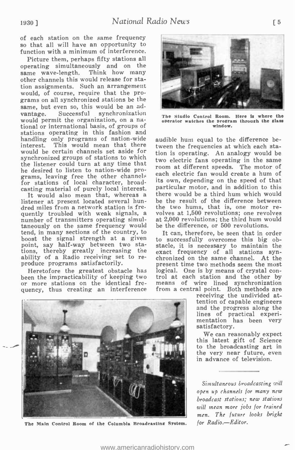of each station on the same frequency so that all will have an opportunity to function with a minimum of interference.

Picture them, perhaps fifty stations all operating simultaneously and on the same wave -length. Think how many other channels this would release for station assignments. Such an arrangement would, of course, require that the programs on all synchronized stations be the same, but even so, this would be an ad-<br>vantage. Successful synchronization vantage. Successful synchronization tional or international basis, of groups of stations operating in this fashion and handling only programs of nation-wide<br>interest. This would mean that there This would mean that there would be certain channels set aside for synchronized groups of stations to which the listener could turn at any time that can be electric rans operating in the same he desired to listen to nation-wide programs, leaving free the other channels each for stations of local character, broadcasting material of purely local interest.

listener at present located several hundred miles from a network station is frequently troubled with weak signals, a number of transmitters operating simultaneously on the same frequency would tend, in many sections of the country, to boost the signal strength at a given point, say half-way between two stations, thereby greatly increasing the ability of a Radio receiving set to reproduce programs satisfactorily.

been the impracticability of keeping two or more stations on the identical frequency, thus creating an interference



The Main Control Room of the Columbia Broadcasting System



The Studio Control Room. Here is where the operator watches the program through the glass window.

audible hum equal to the difference between the frequencies at which each station is operating. An analogy would be two electric fans operating in the same each electric fan would create a hum of its own, depending on the speed of that particular motor, and in addition to this there would be a third hum which would be the result of the difference between the two hums, that is, one motor revolves at 1,500 revolutions; one revolves at 2,000 revolutions; the third hum would be the difference, or 500 revolutions.

Heretofore the greatest obstacle has logical. One is by means of crystal con-It can, therefore, be seen that in order to successfully overcome this big obstacle, it is necessary to maintain the exact frequency of all stations syn- chronized on the same channel. At the present time two methods seem the most trol at each station and the other by means of wire lined synchronization from a central point. Both methods are

> receiving the undivided attention of capable engineers<br>and the progress along the<br>lines of practical experimentation has been very satisfactory.

> We can reasonably expect this latest gift of Science to the broadcasting art in the very near future, even in advance of television.

> Simultaneous broadcasting will open up channels for many new broadcast stations; new stations will mean more jobs for trained men. The future looks bright for Radio.-Editor.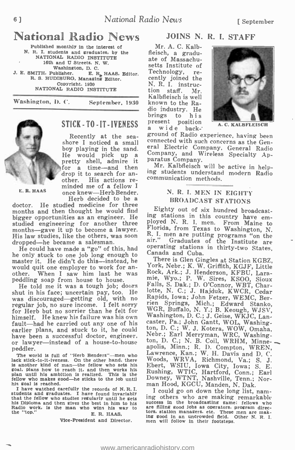# **National Radio News** JOINS N.<br>Published monthly in the interest of Mr. A. C. Kalb-

N. R. I. students and graduates, by the NATIONAL RADIO INSTITUTE 16th and U Streets, N. W. Washington, D. C.<br>16th and U Streets, N. E. R. HAAS, Editor.<br>16th and U Burner. Managing Editor.<br>The Superight. 1930. NATIONAL RADIO INSTITUTE

Washington, D. C. September, 1930



### STICK - TO - IT - IVENESS  $\frac{p}{a}$

He would pick up a  $\frac{\text{Com}}{\text{part}}$ <br>pretty shell, admire it  $\frac{\text{par}}{\text{M}}$ for a time—and then  $\frac{1}{100}$ drop it to search for an-<br>other. His actions reother. His actions re-<br>minded me of a fellow I once knew—Herb Bender.<br>Herb decided to be a

E. R. HAAS

doctor. He studied medicine for three<br>months and then thought he would find Eighty out of six hundred broadcastmonths and then thought he would find bigger opportunities as an engineer. He studied engineering for another three  $\frac{p_{\text{1}}}{p_{\text{2}}}\times R$ . K. I. men. From Maine to months— $\alpha_{\text{2}}$  it up to become a lawyer.  $\frac{p_{\text{1}}}{p_{\text{2}}}\times R$  from Texas to Washington, N. months—gave it up to become a lawyer. Florida, from Texas to Washington, N. His law studies. like the others, was soon R. I. men are putting programs "on the His law studies, like the others, was soon dropped—he became a salesman.

He could have made a "go" of this, had  $^{0}P($ he only stuck to one job long enough to  $\mathbb{C}_p^{\mathbf{a}}$ master it. He didn't do this—instead, he There is Glen Gingles at Station KGBZ, would quit one employer to work for an-<br>other. When I saw him last he was When I saw him last he was peddling soap from house to house.

He told me it was a tough job; doors shut in his face; uncertain pay, too. He<br>was discouraged—getting old, with no was discouraged getting out, with no regular job, no sure income. I felt sorry fren Springs, Mich.; Edward Stanko, for Herb but no sorrier than he felt for WGR, Buffalo, N. Y.; B. Keough, WJSV, himself. He knew his failure huistic. He carried out any one of his caster, Pa.; John Gantt, WOL, Washing-<br>fault—had he carried out any one of his caster, Pa.; John Gantt, WOL, Washing-<br>earlier plans, and stuck to it, he could ton, D. C.; W. J. Kotera earlier plans, and stuck to it, he could have been a successful doctor, engineer, or lawyer-instead of a house-to-house peddler.

The world is full of "Herb Benders"-men who lack stick-to-it-iveness. On the other hand, there is another kind of man-the fellow who sets his goal, plans how to reach It, and then works his plan until his ambition is realized. This is the fellow who makes good-he sticks to the Job until his goal is reached.

I have watched carefully the records of N.R.I.<br>students and graduates. I have found invariably students and statuates. I have found invariably ing others who are making remarkable his Diploma and then gives the best in him to his success in the broadcasting game: fellows who Radio work, is the man who wins his way to the "top." E. R. HAAS,

Vice -President and Director.

### JOINS N. R. I. STAFF

fleisch, a graduate of Massachusetts Institute of<br>Technology, re-Technology, re-<br>cently joined the N. R. I. instruction staff. Mr. Kalbfleisch is well known to the Radio industry. He present position<br>a wide back-



A. C. HALBFLEISCH

Recently at the sea-<br>shore I noticed a small<br>boy playing in the sand. eral Electric Company, General Radio boy playing in the sand. eral Electric Company, General Radio<br>He would pick up a Company, and Wireless Specialty Apground of Radio experience, having been<br>connected with such concerns as the Gen-<br>eral Electric Company, General Radio<br>Company, and Wireless Specialty Ap-<br>paratus Company.<br>Mr. Kalbfleisch will be active in help-<br>ing student

### N. R. I. MEN IN EIGHTY BROADCAST STATIONS

ing stations in this country have em-<br>ployed N. R. I. men. From Maine to<br>Florida, from Texas to Washington, N.<br>R. I. men are putting programs "on the<br>air." Graduates of the Institute are<br>operating stations in thirty-two St

York, Nebr.; K. W. Griffith, KGJF, Little Fock, Ark.; J. Henderson, KFBU, Lara-<br>mie, Wyo.; P. W. Sires, KSOO, Sioux<br>Falls, S. Dak.; D. O'Connor, WBT, Char-<br>Iotte, N. C.; J. Hajduk, KWCR, Cedar<br>Rapids, Iowa; John Fetzer, WEMC, Bercaster, Pa.; John Gantt, WOL, Washing-<br>ton, D. C.; W. J. Kotera, WOW, Omaha,<br>Nebr.; Earl Merryman, WRC, Washing-<br>ton, D. C.; N. B. Coil, WRHM, Minneapolis, Minn.; R. D. Compton, WREN, Lawrence, Kan.; W. H. Davis and D. C. Woods, WRVA, Richmond, Va.; S. J. Ebert, WSIU, Iowa City, Iowa; S. E. Rushing, WTIC, Hartford, Conn.; Earl Downey, WTNT, Nashville, Tenn.; Nor-<br>man Hood, KGCU, Manden, N. Dak.

I could go on down the long list, naming others who are making remarkable success in the broadcasting same: fellows who are filling sod jobs as operators, program directors, station managers, etc. These men are making sood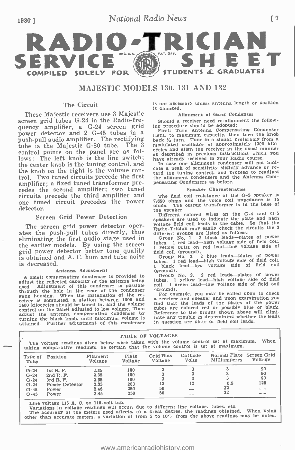

#### MAJESTIC MODELS 130, 131 AND 132

#### The Circuit

These Majestic receivers use 3 Majestic screen grid tubes G-24 in the Radio-frequency amplifier, a  $G-24$  screen grid ing procedure should be adopted:<br>power detector and 2  $G-45$  tubes in a right to maximum cancely, then push-pull audio amplifier. The rectifying back 1/2 turn. Tune in a signal, preferably from a tube is the Majestic G-80 tube. The 3 control points on the panel are as follows: The left knob is the line switch; have already received in your Radio course. the center knob is the tuning control, and<br>the knob on the right is the volume conthe knob on the right is the volume con-<br>trol. Two tuned circuits precede the first the alignment condensers and the Antenna Comamplifier; a fixed tuned transformer precedes the second amplifier; two tuned circuits precede the third amplifier and one tuned circuit precedes the power detector.

#### Screen Grid Power Detection

The screen grid power detector oper-Ine screen grid power detector oper-<br>ates the push-pull tubes directly, thus different groups are listed as follows: eliminating the first audio stage used in grid power detector better tone quality is obtained and A. C. hum and tube noise is decreased.

Antenna Adjustment<br>A small compensating condenser is provided to adjust the reflected capacity of the antenna being<br>used. Adjustment of this condenser is possible used. Adjustment of this condenser is possible coincidens of the condenser of the condenser of the condenser gang housing. When the installation of the re-<br>ceiver is completed, a station between 1000 and a receiver and speaker and upon examination you<br>1400 kilocycles should be tuned in. and the volume find that the leads of the p control on the panel adjusted to low volume. Then adjust the antenna compensating condenser by turning the black knob, until maximum volume fs attained. Further adjustment of this condenser

is not necessary unless antenna length or position is changed.

#### Alignment of Gang Condenser

Should a receiver need re-alignment the follow-

First: Turn Antenna Compensating Condenser right, to maximum capacity, then turn the knob back ', when the signal of approximately 1300 kilo-<br>cycles and align the receiver in the usual manner as described in previous instructions which you

In case one alignment condenser will not indicate a peak of sensitivity slightly advance or rethe alignment condensers and the Antenna Compensating Condensers as before.

#### Speaker Characteristics

The field coil resistance of the G-5 speaker is 7,650 ohms and the voice coil impedance is 15 ohms. The output transformer is in the base of the speaker.

Different colored wires on the G-4 and G-5 speakers are used to indicate the plate and high voltage field coil leads in the cable. So that the voltage finds may easily check the circuits the 3<br>different groups are listed as follows:<br>Group No. 1. 2 black leads—plates of power

Group No. 1. 2 black leads—plates of power<br>tubes. 1 red lead—high voltage side of field coil. 1 yellow twist on red lead-low voltage side of

field coil (ground).<br>Group No. 2. 2 blue leads—plates of power<br>tubes. 1 red lead—high voltage side of field coil. 1 black lead—low voltage side of field coil (ground).

(ground). Group No. 3. 2 red leads -plates of power tubes. 1 yellow lead -high voltage side of field coil. 1 green lead -low voltage side of field coil

(ground).<br>For example, you may be called upon to check tubes are colored red or possibly blue or black. Reference to the groups shown above will eliminate any trouble in determining whether the leads in question are plate or field coil leads.

| <b>TABLE OF VOLTAGES</b><br>When<br>The voltage readings given below were taken with the volume control set at maximum.<br>taking comparative readings, be certain that the volume control is set at maximum. |                |                     |                  |                      |                         |                                                 |              |  |  |
|---------------------------------------------------------------------------------------------------------------------------------------------------------------------------------------------------------------|----------------|---------------------|------------------|----------------------|-------------------------|-------------------------------------------------|--------------|--|--|
| Type of<br>Tube                                                                                                                                                                                               | Position       | Filament<br>Voltage | Plate<br>Voltage | Grid Blas<br>Voltage | Cathode<br><b>Volts</b> | Normal Plate Screen Grid<br><b>Milliamperes</b> | Voltage      |  |  |
| $G - 24$                                                                                                                                                                                                      | 1st R. F.      | 2.35                | 180              |                      |                         |                                                 | 90           |  |  |
| $G-24$                                                                                                                                                                                                        | 2nd R. F.      | 2.35                | 180              |                      |                         |                                                 | 90           |  |  |
| $G - 24$                                                                                                                                                                                                      | 3rd R. F.      | 2.35                | 180              |                      |                         |                                                 | 90           |  |  |
| $G - 24$                                                                                                                                                                                                      | Power Detector | 2.35                | 263              | 12                   | 12                      | 0.5                                             | 125          |  |  |
| $G - 45$                                                                                                                                                                                                      | Power          | 2.45                | 250              | 50                   | <b>Bally</b>            | 32                                              | ----         |  |  |
| $G - 45$                                                                                                                                                                                                      | Power          | 2.45                | 250              | 50                   | Mar mar                 | 32                                              | <b>SHARA</b> |  |  |

Line voltage 115 A. C. on 115-volt tap.<br>Variations in voltage readings will occur, due to different line voltage, tubes, etc.

University of the meters used affects, to a great degree, the readings obtained. When using<br>The accuracy of the meters used affects, to a great degree, the readings obtained. When using<br>other than accurate meters, a varia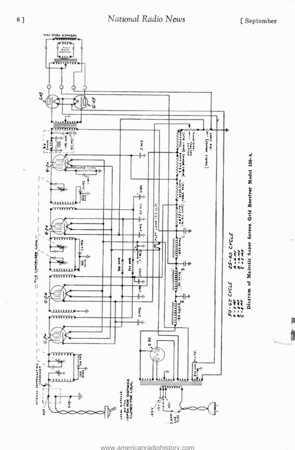ti



<www.americanradiohistory.com>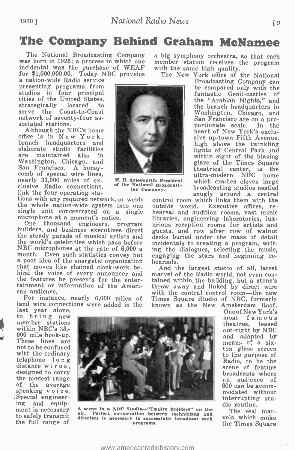## The Company Behind Graham McNamee

The National Broadcasting Company a big symphony orchestra, so that each<br>was born in 1926; a process in which one member station receives the program<br>incidental was the purchase of WEAF with the same high quality.<br>for \$1,0

presenting programs from the compared only with the studios in four principal extractions of the United States, trategically located to serve the Coast-to-Coast and the States of the States in and the branch headquarters i

are maintained also in . An Ayles<br>washington, Chieago, and Within sight of the blazing sam Francisco. A honey<br>the sight of the plazing the square the filling square the energy 35,000 miles of ex-<br> $\,$ M. H. Ayles<br>worth. Pr

serve the Coast-to-Coast Washington, Chicago, and network of seventy-four as-<br>sociated stations. San Francisco are on a pro-<br>Although the NBC's home heart of New York's exclu-Although the NBC's home<br>office is in New York,<br>branch headquarters and<br>elaborate studio facilities elaborate studio facilities lights of Central Park and<br>within sight of the blazing<br>within sight of the blazing

ing and equip-<br>
ment is necessary A scene in a NBC Studio "Empire Builders" on the The real mar-<br>
to safely transmit air. Perfect co-operation between technicians and The real mar-<br>
the full range of the Theory of the Theo directors is necessary to successfully broadcast such vels which make the Times Square

tast year alone,<br>to bring new most famous<br>most famous linear stations theatres, leased within NBC's 33,-Within NBC's 33,-<br>
These lines are<br>
not to be confused<br>
not to be confused<br>
with the ordinary<br>
telephone long<br>
distance wires,<br>
distance wires,<br>
distance wires,<br>
to the purpose of sacreen<br>
to the purpose of sacreen<br>
to the speaking voice.<br>Special engineer-<br>ing and equip-<br>dio routine.

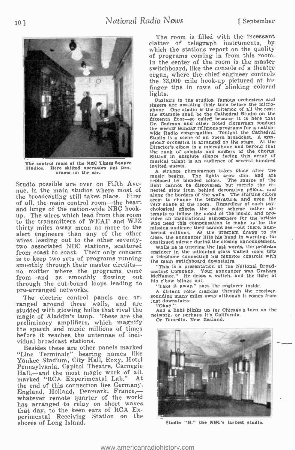

The control room of the NBC Times Square Studios. Here skilled operators put programs on the air.

Studio possible are over on Fifth Avenue, in the main studios where most of flected glow from behind decorative pylons, and the broadcasting still takes place. First along the borders of the walls. The shifting colors the broadcasting still takes place. First of all, the main control room-the heart and lungs of the nation-wide NBC hookup. The wires which lead from this room to the transmitters of WEAF and WJZ thirty miles away mean no more to the missing audience they cannot see—out there, num-<br>alart engineers, than any of the other bering millions. As the program draws to its alert engineers than any of the other<br>wires leading out to the other seventywires leading out to the other seventy-<br>two associated NBC stations, scattered w from coast to coast. Their only concern engi-<br>is to keep two sets of programs running a te from coast to coast. Their only concern engineer in the adioining glass walled room lifts<br>is to keep two sets of programs running a telephone connecting his monitor controls with<br>smoothly through their master circuits - " no matter where the programs come from -and as smoothly flowing out through the out -bound loops leading to pre -arranged networks.

The electric control panels are arranged around three walls, and are  $\frac{3}{10}$   $\frac{1}{10}$ studded with glowing bulbs that rival the magic of Aladdin's lamp. These are the preliminary amplifiers, which magnify<br>the speech and music millions of times before it reaches the antennae of individual broadcast stations.

Besides these are other panels marked "Line Terminals" bearing names like Yankee Stadium, City Hall, Roxy, Hotel Pennsylvania, Capitol Theatre, Carnegie Hall,—and the most magic work of all,<br>marked "RCA Experimental Lab." At marked "RCA Experimental Lab." the end of this connection lies Germany, marked "RUA Experimental Lab. At<br>the end of this connection lies Germany.<br>England, Holland, Denmark, France, whatever remote quarter of the world has arranged to relay on short waves that day, to the keen ears of RCA Experimental Receiving Station on the shores of Long Island.

The room is filled with the incessant clatter of telegraph instruments, by which the stations report on the quality<br>of programs coming in from this room. In the center of the room is the master switchboard, like the console of a theatre organ, where the chief engineer controls the 33,000 mile hook -up pictured at his finger tips in rows of blinking colored lights.

Upstairs in the studios, famous orchestras and singers are awaiting their turn before the microphone. One studio is the criterion of all the rest: the example shall be the Cathedral Studio on the fifteenth floor -so called because it is here that Dr. Cadman and other noted clergymen conduct the weekly Sunday religious programs for a nationwide Radio congregation. Tonight the Cathedral Studio is a scene of an opera broadcast. A symphony orchestra is arranged on the stage. At the Director's elbow is a microphone and beyond that the rank of soloists and singers of the chorus. Sitting in absolute silence facing this array of musical talent is an audience of several hundred invited guests.

A strange phenomenon takes place after the<br>music begins. The lights grow dim. and are music begins. The lights grow dim, and are replaced by blended colors. The source of the light cannot be discovered. but merely the re- flected glow from behind decorative pylons, and seem to change the temperature, and even the very shape of the room. Regardless of such psychological effects. the color scheme rather attempts to follow the mood of the music, and provides an inspirational atmosphere for the artists who need this compensation to make up for the missing audience they cannot see-out there, numclose, the announcer lifts his hand in warning, for continued silence during the closing announcement.<br>While he is uttering the last words, the program

a telephone connecting his monitor controls with the main switchboard downstairs.

"This is a presentation of the National Broadcasting Company. Your announcer was Graham McNamee." He drops a switch, and the light at his elbow blinks out.

"Take it away." says the engineer inside.

<sup>A</sup>distant voice crackles through the receiver. sounding many miles away although it comes from just downstairs:

And a light blinks up for Chicago's turn on the network, or perhaps it's California. Or Dunedin. New Zealand.



Studio "H," the NBC's largest studio.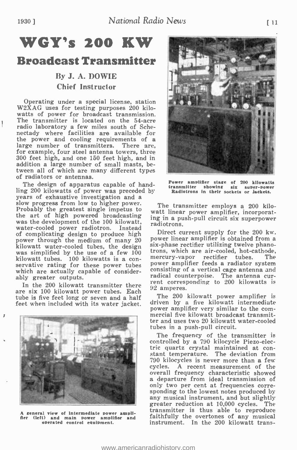# WGY's 200 KW

### Broadcast Transmitter

### By J. A. DOWIE Chief Instructor

Operating under a special license, station W2XAG uses for testing purposes 200 kilowatts of power for broadcast transmission. The transmitter is located on the 54-acre radio laboratory a few miles south of Schenectady where facilities are available for the power and cooling requirements of a large number of transmitters. There are, for example, four steel antenna towers, three 300 feet high, and one 150 feet high, and in addition a large number of small masts, between all of which are many different types of radiators or antennas.

The design of apparatus capable of hand-Ine design of apparatus capable of nand-<br>ling 200 kilowatts of power was preceded by Radiotrons<br>years of exhaustive investigation and a slow progress from low to higher power.<br>Probably the greatest single impetus to the art of high powered broadcasting wait linear power amplifier, incorporalwas the development of the 100 kilowatt, radiotrons. water -cooled power radiotron. Instead of complicating design to produce high  $\frac{1}{2}$ <br>power through the medium of many 20 kilowatt water -cooled tubes, the design was simplified by the use of a few 100 kilowatt tubes. 100 kilowatts is a con-<br>servative rating for these power tubes power amplifier feeds a radiator system<br>which are actually canable of consider-<br>consisting of a vertical cage antenna and which are actually capable of considerably greater outputs.

In the 200 kilowatt transmitter there are six 100 kilowatt power tubes. Each tube is five feet long or seven and a half feet when included with its water jacket.



A zeneral view of Intermediate power ampli-<br>fier (left) and main power amplifier and<br>operated control equipment.



Power amplifier stage of 200 kilowatts transmitter showing six super -power Radiotrons in their sockets or jackets.

The transmitter employs a 200 kilowatt linear power amplifier, incorporat-

Direct current supply for the 200 kw.<br>power linear amplifier is obtained from a six-phase rectifier utilizing twelve phanotrons, which are air-cooled, hot-cathode,<br>mercury-vapor rectifier tubes. The mercury-vapor rectifier tubes. power amplifier feeds a radiator system<br>consisting of a vertical cage antenna and<br>radical counterpoise. The antenna current corresponding to 200 kilowatts is 92 amperes.

The 200 kilowatt power amplifier is driven by a five kilowatt intermediate power amplifier very similar to the com- mercial five kilowatt broadcast transmitter and uses two 20 kilowatt water-cooled tubes in a push -pull circuit.

The frequency of the transmitter is controlled by a 790 kilocycle Piezo -electric quartz crystal maintained at con- stant temperature. The deviation from 790 kilocycles is never more than a few cycles. A recent measurement of the a departure from ideal transmission of only two per cent at frequencies corresponding to the lowest notes produced by any musical instrument, and but slightly greater reduction at 10,000 cycles. The faithfully the overtones of any musical instrument. In the 200 kilowatt trans-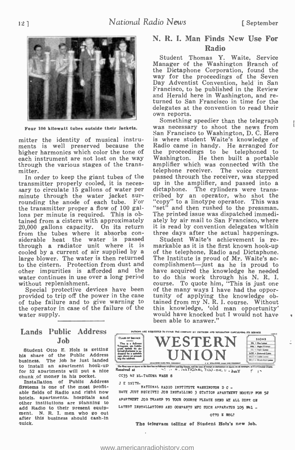

Four 100 kilowatt tubes outside their Jackets

mitter the identity of musical instru-<br>ments is well preserved because the higher harmonics which color the tone of each instrument are not lost on the way Washington. He then built a portable through the various stages of the trans- amplifier which was connected with the through the various stages of the transmitter.

transmitter properly cooled, it is neces- sary to circulate 15 gallons of water per minute through the water jacket surrounding the anode of each tube. For the transmitter proper a flow of 100 gallons per minute is required. This is obtained from a cistern with approximately 20,000 gallons capacity. On its return it is from the tubes where it absorbs con- siderable heat the water is passed siderable heat the water is passed Student Waite's achievement is re-<br>through a radiator unit where it is markable as it is the first known hook-up cooled by a current of air supplied by a of the telephone, Radio and Dictaphone.<br>large blower. The water is then returned The Institute is proud of Mr. Waite's acto the cistern. Protection from dust and complishment—just a to the cistern. Protection from dust and other impurities is afforded and the have acquired the knowledge he needed water continues in use over a long period to do this work through his N. R. I. water continues in use over a long period<br>without replenishment.

provided to trip off the power in the case tuin of tube failure and to give warning to tai the operator in case of the failure of the water supply.

### N. R. I. Man Finds New Use For Radio

Student Thomas Y. Waite, Service Manager of the Washington Branch of the Dictaphone Corporation, found the way for the proceedings of the Seven Day Adventist Convention, held in San Francisco, to be published in the Review and Herald here in Washington, and returned to San Francisco in time for the delegates at the convention to read their own reports.

In order to keep the giant tubes of the passed through the receiver, was stepped<br>ansmitter properly cooled, it is neces- up in the amplifier, and passed into a Something speedier than the telegraph was necessary to shoot the news from San Francisco to Washington, D. C. Hero is where student Waite's knowledge of Radio came in handy. He arranged for the proceedings to be telephoned to Washington. He then built a portable amplifier which was connected with the telephone receiver. The voice current The voice current passed through the receiver, was stepped dictaphone. The cylinders were transcribed by an operator, who shot the "copy" to a linotype operator. This was "set" and then rushed to the pressman. The printed issue was dispatched immedi-The printed issue was dispatched immedi-<br>ately by air mail to San Francisco, where it is read by convention delegates within<br>three days after the actual happenings.

Special protective devices have been of the many ways I have had the oppor-<br>provided to trip off the power in the case tunity of applying the knowledge ob-Student Waite's achievement is reof the telephone, Radio and Dictaphone. have acquired the knowledge he needed course. To quote him, "This is just one tained from my N. R. I. course. Without this knowledge, 'old man opportunity' would have knocked but I would not have been able to answer."

### **Lands Public Address** Job

 $\begin{array}{c|c|c|c|c|c} \hline \text{JOD} & \text{m}_{\text{in}} & \text{in the diagram of Coh-} \\ \hline \text{Student Otto E. Holz is getting to Coh-} \\ \hline \end{array}$ his share of the Public Address business. The job he just landed  $\frac{\log n}{\log n}$ for 52 apartments will put a nice<br> $\frac{1}{2}$  apartments will put a nice<br>cost  $\frac{1}{2}$  apartments will put a nice<br> $\frac{1}{2}$   $\frac{1}{2}$   $\frac{1}{2}$   $\frac{1}{2}$   $\frac{1}{2}$   $\frac{1}{2}$   $\frac{1}{2}$   $\frac{1}{2}$   $\frac{1}{2}$   $\frac{1}{2}$   $\frac{1}{2}$ chunk of money in his pocket.

Installation of Public Address <sub>J</sub><br>Systems is one of the most profitable fields of Radio and right now hotels, apartments, hospitals and other institutions are planning to add Radio to their present equipment. N. R. I. men who go out after this business should cash-in quick.



J E SMITH-<br> RATIORAL RADIO INSTITUTE WASHINGTON D C -HAVE JUST RECEIVED JOB INSTALLING 3 STATION APARTMENT HOOSUP FOR 52 APARTMENT JOB THANKS TO TOUR COURSE PLEASE SEND HE ALL DOPE ON LATEST INSTALLATIONS AND COMPANTS MFC SUCH APPARATUS 105 NA1 -OTTO ! ROL2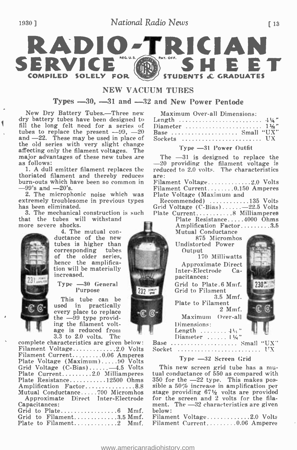### National Radio News 13



#### NEW VACHIM THRES

Types  $-30$ ,  $-31$  and  $-32$  and New Power Pentode

New Dry Battery Tubes.—Three new dry battery tubes have been designed to fill the long felt need for a series of tubes to replace the present  $-99$ ,  $-20$ and -22. These may be used in place of<br>the old series with very slight change affecting only the filament voltages. The  $\frac{I_y p e - 3I_I}{P}$  is designed to replace the major advantages of these new tubes are The  $-31$  is designed to replace the major advantages of these new tubes are as follows:

1. A dull emitter filament replaces the thoriated filament and thereby reduces burn-outs which have been so common in

-99's and --20's.<br>2. The microphonic noise which was extremely troublesome in previous types<br>has been eliminated.

3. The mechanical construction is such that the tubes will withstand<br>more severe shocks.<br>4. The mutual con-



ductance of the new tubes is higher than corresponding tubes of the older series, hence the amplifica-<br>tion will be materially<br>increased.

#### $Tvpe$   $-30$  General Purpose

This tube can be used in practically every place to replace<br>the  $-99$  type provid-<br>ing the filament voltage is reduced from 3.3 to 2.0 volts. The

complete characteristics are given below: Filament Voltage.............2.0 Volts Filament Current 0 06 Amperes Plate Voltage (Maximum) 90 Volts Grid Voltage (C-Bias).......-4.5 Volts<br>Plate Current.........2.0 Milliamperes Plate Resistance...........12500 Ohms 350 for the  $-22$  type. This makes pos-<br>Amplification Factor................8.8 sible a 50% increase in amplification per Amplification Factor..............8.8 Mutual Conductance 700 Micromhos Approximate Direct Inter -Electrode Capacitances: Grid to Plate 6 Mmf. Grid to Filament..............3.5 Mmf. Plate to Filament 2 Mmf.

|  | Maximum Over-all Dimensions: |  |
|--|------------------------------|--|
|  |                              |  |

| Length $\ldots \ldots \ldots \ldots \ldots \ldots \ldots \ldots 4\frac{1}{4}$ |  |  |  |  |  |  |  |  |  |  |  |  |  |  |  |  |
|-------------------------------------------------------------------------------|--|--|--|--|--|--|--|--|--|--|--|--|--|--|--|--|
| Diameter  1½"                                                                 |  |  |  |  |  |  |  |  |  |  |  |  |  |  |  |  |
| Base  Small "UX"                                                              |  |  |  |  |  |  |  |  |  |  |  |  |  |  |  |  |
| Sockets  UX                                                                   |  |  |  |  |  |  |  |  |  |  |  |  |  |  |  |  |

#### Type -31 Power Outfit

-20 providing the filament voltage is reduced to 2.0 volts. The characteristics are:

Filament Voltage............2.0 Volts Filament Current ........0.150 Amperes<br>Plate Voltage (Maximum and

Recommended) ...........135 Volts Grid Voltage  $(C$ -Bias)...... -22.5 Volts

Plate Current................8 Milliamperes<br>Plate Resistance.....4000 Ohms Amplification Factor.........3.5

Mutual Conductance 875 Micromhos Undistorted Power

**Output** 170 Milliwatts Approximate Direct Inter -Electrode Capacitances:

Grid to Plate.6 Mmf. 230' Grid to Filament

3.5 Mmf. Plate to Filament 2 Mmf.

Maximum Over-all Dimensions:<br>Length  $\ldots \ldots \ldots 4\frac{1}{2}$ 

Length Diameter <sup>i</sup>j,,' Base Small "UX" Socket ......................

#### Type -32 Screen Grid

tual conductance of 550 as compared with stage providing  $67\frac{1}{2}$  volts are provided for the screen and 2 volts for the filament. The  $-32$  characteristics are given

Filament Voltage............2.0 Volts Filament Current........0.06 Amperes

232 scws

ſО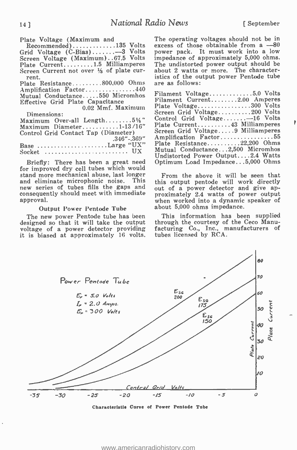Plate Voltage (Maximum and Recommended) . . . . . . . . . . . . . 135 Volts Grid Voltage (C-Bias).......-3 Volts Screen Voltage (Maximum)..67.5 Volts Plate Current.........1.5 Milliamperes Screen Current not over  $\frac{1}{3}$  of plate current. Plate Resistance.........800,000 Ohms Amplification Factor..............440 Mutual Conductance ....550 Micromhos Fil<br>Effective Grid Plate Capacitance Fil 0.02 Mmf. Maximum Dimensions: Maximum Over-all Length........ $5\frac{1}{4}$ " Maximum Diameter...........1-13/16" Control Grid Contact Tap (Diameter)  $0.346''$  -.369" Base ...................Large "UX"  $Socket$  ........................... UX are as follows:

Briefly: There has been a great need for improved dry cell tubes which would stand more mechanical abuse, last longer and eliminate microphonic noise. This new series of tubes fills the gaps and consequently should meet with immediate approval.

#### Output Power Pentode Tube

The new power Pentode tube has been designed so that it will take the output voltage of a power detector providing it is biased at approximately 16 volts. The operating voltages should not be in excess of those obtainable from  $a -80$ power pack. It must work into a low impedance of approximately 5,000 ohms. The undistorted power output should be about 2 watts or more. The characteristics of the output power Pentode tube

| Filament Voltage5.0 Volts         |  |
|-----------------------------------|--|
| Filament Current2.00 Amperes      |  |
| Plate Voltage300 Volts            |  |
| Screen Grid Voltage200 Volts      |  |
| Control Grid Voltage $-16$ Volts  |  |
| Plate Current43 Milliamperes      |  |
| Screen Grid Voltage9 Milliamperes |  |
| Amplification Factor55            |  |
| Plate Resistance22,200 Ohms       |  |
| Mutual Conductance2,500 Micromhos |  |
| Undistorted Power Output2.4 Watts |  |
| Optimum Load Impedance5,000 Ohms  |  |

From the above it will be seen that this output pentode will work directly out of a power detector and give approximately 2.4 watts of power output when worked into a dynamic speaker of about 5,000 ohms impedance.

This information has been supplied through the courtesy of the Ceco Manufacturing Co., Inc., manufacturers of tubes licensed by RCA.



<www.americanradiohistory.com>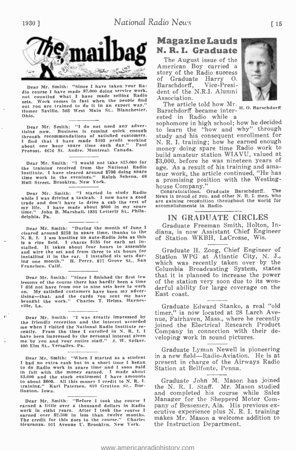

Dear Mr. Smith: "Since I have taken your Radio course I have made \$2.000 doing service work,<br>not counting what I have made selling Radio sets. Work comes in fast when the people find out you are trained to do it in an expert way." Homer Saville, 503 West Main St.. Blanchester. Barschdorff became inter-<br>Ohlo. ested in Radio while a Ohio.

Dear Mr. Smith: "I do not need any advertising now. Business is coming quick enough<br>through recommendations of satisfied customers. through recommendations of satisfied customers.<br>Through recommending that I have made \$493 profit working about one hour spare time each day." Paul Provost, 4676 St. Andre. Montreal. Canada.

Dear Mr. Smith: "I would not take \$15.000 for the training received from the National Radio Institute. I have cleared around \$700 doing spare time work in the evenings." Ralph Schena, 60 Hull Street, Brooklyn. New York.

Dear Mr. Smith: "I started to study Radio while I was driving a taxicab. I now have a good trade and don't have to drive a cab the rest of my life. I have made about \$600 in my spare time." John B. Marshall. 1831 Letterly St.. Philadelphia, Pa.

Dear Mr. Smith: "During the month of June I cleared around \$258 in spare time, thanks to the N. R. I. I am hustling up auto -Radio Jobs as this is a ripe field. I charge \$135 for each set installed. It takes about four hours to assemble and wire the set and from three to six hours for installing it in the car. I installed six sets during one month." H. Perry, 875 Grove St.. San Francisco, Calif.

Dear Mr. Smith: "Since I finished the first few lessons of the course there has hardly been a time of the station very soon due to its won-<br>I did not have from one to nine sets here to work derful ability for large coverage on the I did not have from one to nine sets here to work on. My satisfied customers have been my adverout in the cards you sent me have this ing-that, and the cards you sent me have the brought the work." Charles T. Helms. Haynesville. La.

Dear Mr. Smith: "I was greatly impressed by the friendly reception and the interest accorded interest accorded me when I visited the National Radio Institute re-  $j_0$ io cently. From the time I enrolled in N. R. I. I  $\bigcirc$ cently. From the time I enrolled in N. R. I. I have been impressed by the personal interest given me by you and your entire staff." J. W. Spiker. 400 Elm St., Versailes. Pa.

Dear Mr. Smith: "When I started as a student I had no extra cash but in a short time I began to do Radio work in spare time and I soon paid in full with the money earned. I made about \$3.000 and the stock equipment I have amounts to about \$800. All this money I credit to N. R. I. training." Karl Patersen. 810 Gratton St.. Burlington, Iowa.

Dear Mr. Smith: "Before I took the course I earned a little over a thousand dollars in Radio work in eight years. After I took the course I expected over \$2,500 in less than twelve months.<br>The credit for this goes to the course." Charles months. Sieuranza, 911 Avenue C. Brooklyn. New York.

### Magazine Lauds N. R. I. Graduate

The August issue of the<br>American Boy carried a story of the Radio success<br>of Graduate Harry O.<br>Barschdorff. Vice-Presi-Barschdorff, dent of the N.R.I. Alumni Association.



The article told how Mr. Barschdorff became inter- H. O. Barschdorff

sophomore in high school; how he decided to learn the "how and why" through study and his consequent enrollment for N. R. I. training; how he earned enough money doing spare time Radio work to build amateur station WIAVU, valued at \$3,000, before he was nineteen vears of age. As a result of his training and amateur work, the article continued, "He has a promising position with the Westing-<br>house Company."

Congratulations. Graduate Barschdorff. The<br>News is proud of you. and other N. R. I. men. who are gaining recognition throughout the world for accomplishments in Radio.

#### IN GRADUATE CIRCLES

Graduate Freeman Smith, Holton, Indiana, is now Assistant Chief Engineer of Station WKBH, LaCrosse, Wis.

Graduate H. Zoog, Chief Engineer of Station WPG at Atlantic City, N. J., which was recently taken over by the Columbia Broadcasting System, states that it is planned to increase the power of the station very soon due to its won-East coast.

Graduate Edward Stanko, a real "old timer," is now located at 28 Larch Avenue, Fairhaven, Mass., where he recently joined the Electrical Research Product Company in connection with their developing work in sound pictures.

Graduate Lyman Newell is pioneering in a new field-Radio-Aviation. He is at present in charge of the Airways Radio Station at Bellfonte, Penna.

Graduate John M. Mason has joined the N. R. I. Staff. Mr. Mason studied and completed his course while Sales Manager for the Shepperd Motor Company of Bessemer, Ala. His previous ex- ecutive experience plus N. R. I. training makes Mr. Mason a welcome addition to the Instruction Department.